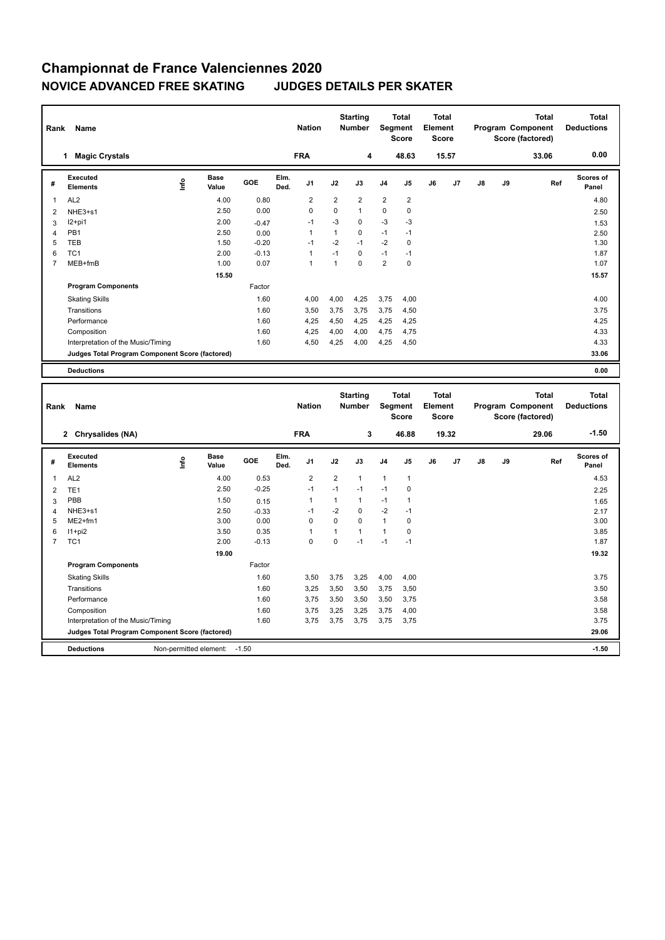## **Championnat de France Valenciennes 2020 NOVICE ADVANCED FREE SKATING JUDGES DETAILS PER SKATER**

|                | Name<br>Rank                                    |      |                      |         |              |                |                | <b>Starting</b><br><b>Number</b> |                | <b>Total</b><br>Segment<br><b>Score</b> |    | Total<br>Element<br><b>Score</b> |               |    | <b>Total</b><br>Program Component<br>Score (factored) | <b>Total</b><br><b>Deductions</b> |
|----------------|-------------------------------------------------|------|----------------------|---------|--------------|----------------|----------------|----------------------------------|----------------|-----------------------------------------|----|----------------------------------|---------------|----|-------------------------------------------------------|-----------------------------------|
|                | <b>Magic Crystals</b><br>1                      |      |                      |         |              | <b>FRA</b>     |                | 4                                |                | 48.63                                   |    | 15.57                            |               |    | 33.06                                                 | 0.00                              |
| #              | Executed<br><b>Elements</b>                     | ١nf٥ | <b>Base</b><br>Value | GOE     | Elm.<br>Ded. | J <sub>1</sub> | J2             | J3                               | J <sub>4</sub> | J <sub>5</sub>                          | J6 | J <sub>7</sub>                   | $\mathsf{J}8$ | J9 | Ref                                                   | <b>Scores of</b><br>Panel         |
| $\mathbf 1$    | AL <sub>2</sub>                                 |      | 4.00                 | 0.80    |              | $\overline{2}$ | $\overline{2}$ | $\overline{2}$                   | $\overline{2}$ | $\overline{\mathbf{c}}$                 |    |                                  |               |    |                                                       | 4.80                              |
| 2              | NHE3+s1                                         |      | 2.50                 | 0.00    |              | $\Omega$       | $\Omega$       | $\mathbf{1}$                     | 0              | 0                                       |    |                                  |               |    |                                                       | 2.50                              |
| 3              | I2+pi1                                          |      | 2.00                 | $-0.47$ |              | $-1$           | $-3$           | 0                                | $-3$           | -3                                      |    |                                  |               |    |                                                       | 1.53                              |
| 4              | PB1                                             |      | 2.50                 | 0.00    |              | -1             | 1              | 0                                | $-1$           | $-1$                                    |    |                                  |               |    |                                                       | 2.50                              |
| 5              | <b>TEB</b>                                      |      | 1.50                 | $-0.20$ |              | $-1$           | $-2$           | $-1$                             | $-2$           | $\mathbf 0$                             |    |                                  |               |    |                                                       | 1.30                              |
| 6              | TC <sub>1</sub>                                 |      | 2.00                 | $-0.13$ |              | $\overline{1}$ | $-1$           | $\Omega$                         | $-1$           | $-1$                                    |    |                                  |               |    |                                                       | 1.87                              |
| $\overline{7}$ | MEB+fmB                                         |      | 1.00                 | 0.07    |              | $\overline{1}$ | $\overline{1}$ | 0                                | $\overline{2}$ | 0                                       |    |                                  |               |    |                                                       | 1.07                              |
|                |                                                 |      | 15.50                |         |              |                |                |                                  |                |                                         |    |                                  |               |    |                                                       | 15.57                             |
|                | <b>Program Components</b>                       |      |                      | Factor  |              |                |                |                                  |                |                                         |    |                                  |               |    |                                                       |                                   |
|                | <b>Skating Skills</b>                           |      |                      | 1.60    |              | 4,00           | 4,00           | 4,25                             | 3,75           | 4,00                                    |    |                                  |               |    |                                                       | 4.00                              |
|                | Transitions                                     |      |                      | 1.60    |              | 3,50           | 3,75           | 3,75                             | 3,75           | 4,50                                    |    |                                  |               |    |                                                       | 3.75                              |
|                | Performance                                     |      |                      | 1.60    |              | 4,25           | 4,50           | 4,25                             | 4,25           | 4,25                                    |    |                                  |               |    |                                                       | 4.25                              |
|                | Composition                                     |      |                      | 1.60    |              | 4,25           | 4,00           | 4,00                             | 4,75           | 4,75                                    |    |                                  |               |    |                                                       | 4.33                              |
|                | Interpretation of the Music/Timing              |      |                      | 1.60    |              | 4,50           | 4,25           | 4,00                             | 4,25           | 4,50                                    |    |                                  |               |    |                                                       | 4.33                              |
|                | Judges Total Program Component Score (factored) |      |                      |         |              |                |                |                                  |                |                                         |    |                                  |               |    |                                                       | 33.06                             |
|                | <b>Deductions</b>                               |      |                      |         |              |                |                |                                  |                |                                         |    |                                  |               |    |                                                       | 0.00                              |

| Rank<br>Name   |                                                        |      |                      |         |              | <b>Nation</b>  |                | <b>Starting</b><br><b>Number</b> |                | <b>Total</b><br>Segment<br><b>Score</b> |    | <b>Total</b><br>Element<br><b>Score</b> |               | Total<br>Program Component<br>Score (factored) |       | <b>Total</b><br><b>Deductions</b> |
|----------------|--------------------------------------------------------|------|----------------------|---------|--------------|----------------|----------------|----------------------------------|----------------|-----------------------------------------|----|-----------------------------------------|---------------|------------------------------------------------|-------|-----------------------------------|
|                | Chrysalides (NA)<br>$\mathbf{2}$                       |      |                      |         |              | <b>FRA</b>     |                | 3                                |                | 46.88                                   |    | 19.32                                   |               |                                                | 29.06 | $-1.50$                           |
| #              | Executed<br><b>Elements</b>                            | lnfo | <b>Base</b><br>Value | GOE     | Elm.<br>Ded. | J <sub>1</sub> | J2             | J3                               | J <sub>4</sub> | J5                                      | J6 | J7                                      | $\mathsf{J}8$ | J9                                             | Ref   | <b>Scores of</b><br>Panel         |
|                | AL <sub>2</sub>                                        |      | 4.00                 | 0.53    |              | $\overline{2}$ | $\overline{2}$ | $\mathbf{1}$                     | $\mathbf{1}$   | $\mathbf{1}$                            |    |                                         |               |                                                |       | 4.53                              |
| $\overline{2}$ | TE <sub>1</sub>                                        |      | 2.50                 | $-0.25$ |              | $-1$           | $-1$           | $-1$                             | $-1$           | 0                                       |    |                                         |               |                                                |       | 2.25                              |
| 3              | PBB                                                    |      | 1.50                 | 0.15    |              |                | 1              | $\mathbf{1}$                     | $-1$           | 1                                       |    |                                         |               |                                                |       | 1.65                              |
| 4              | NHE3+s1                                                |      | 2.50                 | $-0.33$ |              | $-1$           | $-2$           | 0                                | $-2$           | $-1$                                    |    |                                         |               |                                                |       | 2.17                              |
| 5              | $ME2+fm1$                                              |      | 3.00                 | 0.00    |              | 0              | $\mathbf 0$    | $\mathbf 0$                      | $\mathbf{1}$   | 0                                       |    |                                         |               |                                                |       | 3.00                              |
| 6              | $11+pi2$                                               |      | 3.50                 | 0.35    |              |                | 1              | 1                                | $\mathbf{1}$   | 0                                       |    |                                         |               |                                                |       | 3.85                              |
| 7              | TC <sub>1</sub>                                        |      | 2.00                 | $-0.13$ |              | $\Omega$       | 0              | $-1$                             | $-1$           | $-1$                                    |    |                                         |               |                                                |       | 1.87                              |
|                |                                                        |      | 19.00                |         |              |                |                |                                  |                |                                         |    |                                         |               |                                                |       | 19.32                             |
|                | <b>Program Components</b>                              |      |                      | Factor  |              |                |                |                                  |                |                                         |    |                                         |               |                                                |       |                                   |
|                | <b>Skating Skills</b>                                  |      |                      | 1.60    |              | 3.50           | 3.75           | 3,25                             | 4,00           | 4.00                                    |    |                                         |               |                                                |       | 3.75                              |
|                | Transitions                                            |      |                      | 1.60    |              | 3,25           | 3,50           | 3,50                             | 3,75           | 3,50                                    |    |                                         |               |                                                |       | 3.50                              |
|                | Performance                                            |      |                      | 1.60    |              | 3,75           | 3,50           | 3,50                             | 3,50           | 3,75                                    |    |                                         |               |                                                |       | 3.58                              |
|                | Composition                                            |      |                      | 1.60    |              | 3,75           | 3,25           | 3,25                             | 3,75           | 4,00                                    |    |                                         |               |                                                |       | 3.58                              |
|                | Interpretation of the Music/Timing                     |      |                      | 1.60    |              | 3,75           | 3,75           | 3,75                             | 3,75           | 3,75                                    |    |                                         |               |                                                |       | 3.75                              |
|                | Judges Total Program Component Score (factored)        |      |                      |         |              |                |                |                                  |                |                                         |    |                                         |               |                                                |       | 29.06                             |
|                | Non-permitted element:<br>$-1.50$<br><b>Deductions</b> |      |                      |         |              |                |                |                                  |                |                                         |    |                                         |               | $-1.50$                                        |       |                                   |